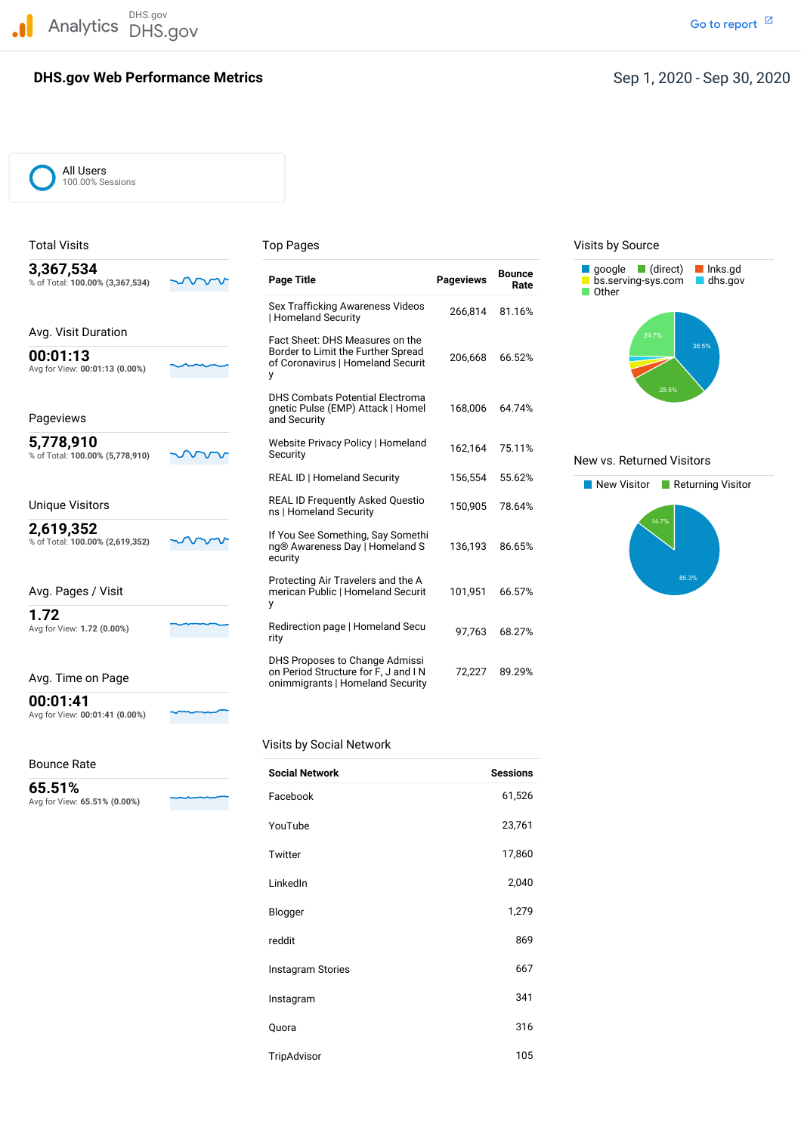DHS.gov Analytics DHS.gov and the contract of the contract of the contract of the contract of the contract of the contract of the contract of the contract of the contract of the contract of the contract of the contract of the cont

## **DHS.gov Web Performance Metrics**

# Sep 1, 2020 - Sep 30, 2020

All Users 100.00% Sessions

| 3,367,534<br>% of Total: 100.00% (3,367,534) | <b>Page Title</b>                                                                                               | <b>Pageviews</b> | <b>Bounce</b><br>Rate | qoogle (direct)<br>Inks.gd<br>bs.serving-sys.com<br>$\blacksquare$ dhs.gov<br>Other |
|----------------------------------------------|-----------------------------------------------------------------------------------------------------------------|------------------|-----------------------|-------------------------------------------------------------------------------------|
|                                              | Sex Trafficking Awareness Videos<br>Homeland Security                                                           | 266,814          | 81.16%                |                                                                                     |
| Avg. Visit Duration                          |                                                                                                                 |                  |                       | 24.7%                                                                               |
| 00:01:13<br>Avg for View: 00:01:13 (0.00%)   | Fact Sheet: DHS Measures on the<br>Border to Limit the Further Spread<br>of Coronavirus   Homeland Securit<br>у | 206,668          | 66.52%                | 38.5%                                                                               |
| Pageviews                                    | <b>DHS Combats Potential Electroma</b><br>gnetic Pulse (EMP) Attack   Homel<br>and Security                     | 168,006          | 64.74%                | 28.5%                                                                               |
| 5,778,910<br>% of Total: 100.00% (5,778,910) | Website Privacy Policy   Homeland<br>Security                                                                   | 162,164          | 75.11%                | New vs. Returned Visitors                                                           |
|                                              | REAL ID   Homeland Security                                                                                     | 156,554          | 55.62%                | New Visitor<br>Returning Visite                                                     |
| <b>Unique Visitors</b>                       | <b>REAL ID Frequently Asked Questio</b><br>ns   Homeland Security                                               | 150,905          | 78.64%                |                                                                                     |
| 2,619,352<br>% of Total: 100.00% (2,619,352) | If You See Something, Say Somethi<br>ng® Awareness Day   Homeland S<br>ecurity                                  | 136,193          | 86.65%                | 14.7%                                                                               |
| Avg. Pages / Visit                           | Protecting Air Travelers and the A<br>merican Public   Homeland Securit<br>y                                    | 101,951          | 66.57%                | 85.3%                                                                               |
| 1.72<br>Avg for View: 1.72 (0.00%)           | Redirection page   Homeland Secu<br>rity                                                                        | 97.763           | 68.27%                |                                                                                     |
| Avg. Time on Page                            | DHS Proposes to Change Admissi<br>on Period Structure for F, J and IN<br>onimmigrants   Homeland Security       | 72,227           | 89.29%                |                                                                                     |

## Total Visits **Top Pages** Top Pages Top Pages Visits by Source



## **New vs. Returned Visitors**



## al Network

| <b>Bounce Rate</b>                     |                       |                 |
|----------------------------------------|-----------------------|-----------------|
|                                        | <b>Social Network</b> | <b>Sessions</b> |
| 65.51%<br>Avg for View: 65.51% (0.00%) | Facebook              | 61,526          |
|                                        | YouTube               | 23,761          |
|                                        | Twitter               | 17,860          |
|                                        | LinkedIn              | 2,040           |
|                                        | Blogger               | 1,279           |
|                                        | reddit                | 869             |
|                                        | Instagram Stories     | 667             |
|                                        | Instagram             | 341             |
|                                        | Quora                 | 316             |
|                                        | TripAdvisor           | 105             |

| Visits by Socia |  |
|-----------------|--|
|-----------------|--|

# Bounce Rate

**00:01:41**

Avg for View: **00:01:41 (0.00%)**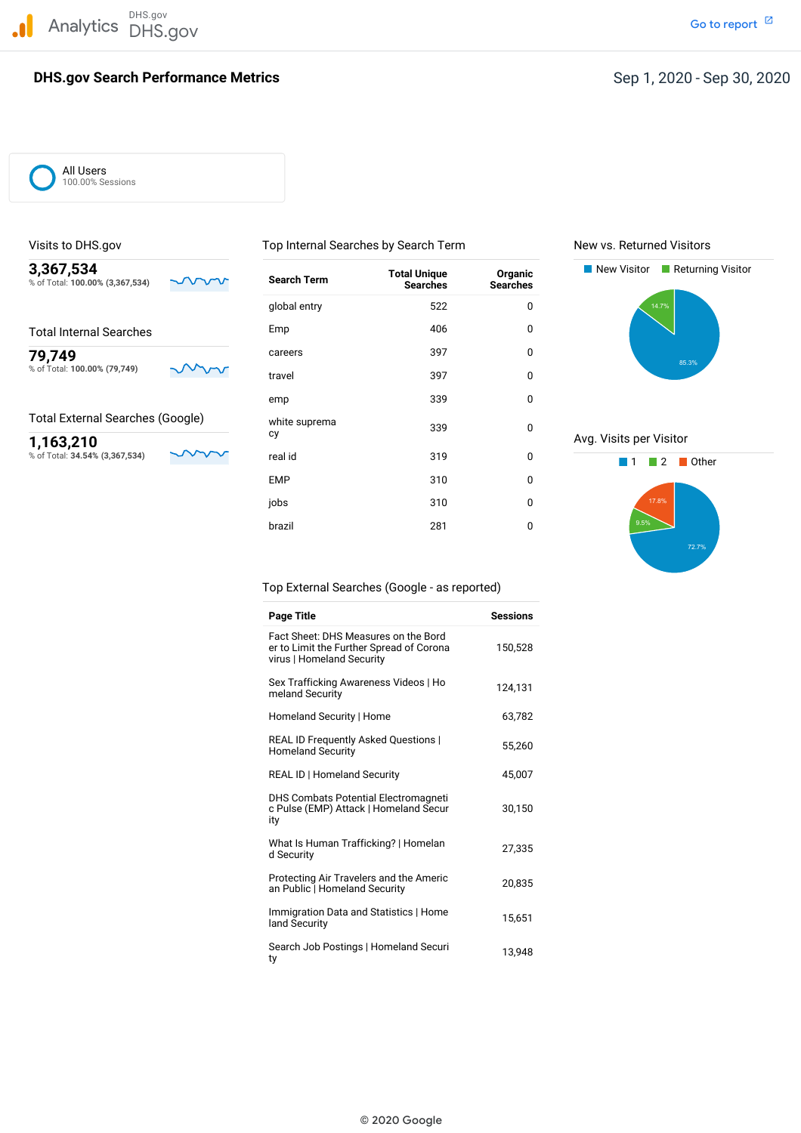DHS.gov Analytics DHS.gov and the contract of the contract of the contract of the contract of the contract of the contract of the contract of the contract of the contract of the contract of the contract of the contract of the cont

## **DHS.gov Search Performance Metrics**

All Users 100.00% Sessions

| 3,367,534<br>% of Total: 100.00% (3,367,534) | $\sim$ | <b>Search Term</b> | <b>Total Unique</b><br><b>Searches</b> | Organic<br><b>Searches</b> | New Visitor<br>Returning Visitor |
|----------------------------------------------|--------|--------------------|----------------------------------------|----------------------------|----------------------------------|
|                                              |        | global entry       | 522                                    | 0                          | 14.7%                            |
| <b>Total Internal Searches</b>               |        | Emp                | 406                                    | 0                          |                                  |
| 79,749<br>% of Total: 100.00% (79,749)       |        | careers            | 397                                    | $\mathbf 0$                | 85.3%                            |
|                                              |        | travel             | 397                                    | 0                          |                                  |
|                                              |        | emp                | 339                                    | 0                          |                                  |
| <b>Total External Searches (Google)</b>      |        | white suprema      | 339                                    | 0                          |                                  |
| 1,163,210                                    |        | cy                 |                                        |                            | Avg. Visits per Visitor          |
| % of Total: 34.54% (3,367,534)               |        | real id            | 319                                    | 0                          | Other                            |
|                                              |        | <b>EMP</b>         | 310                                    | 0                          |                                  |
|                                              |        | jobs               | 310                                    | 0                          | 17.8%                            |
|                                              |        | brazil             | 281                                    | 0                          | 9.5%                             |

Visits to DHS.gov **New You Accord Top Internal Searches by Search Term** New vs. Returned Visitors





Top External Searches (Google - as reported)

| <b>Page Title</b>                                                                                             | <b>Sessions</b> |
|---------------------------------------------------------------------------------------------------------------|-----------------|
| Fact Sheet: DHS Measures on the Bord<br>er to Limit the Further Spread of Corona<br>virus   Homeland Security | 150,528         |
| Sex Trafficking Awareness Videos   Ho<br>meland Security                                                      | 124,131         |
| Homeland Security   Home                                                                                      | 63,782          |
| REAL ID Frequently Asked Questions  <br><b>Homeland Security</b>                                              | 55.260          |
| <b>REAL ID   Homeland Security</b>                                                                            | 45.007          |
| <b>DHS Combats Potential Electromagneti</b><br>c Pulse (EMP) Attack   Homeland Secur<br>ity                   | 30,150          |
| What Is Human Trafficking?   Homelan<br>d Security                                                            | 27,335          |
| Protecting Air Travelers and the Americ<br>an Public   Homeland Security                                      | 20,835          |
| Immigration Data and Statistics   Home<br>land Security                                                       | 15,651          |
| Search Job Postings   Homeland Securi<br>ty                                                                   | 13.948          |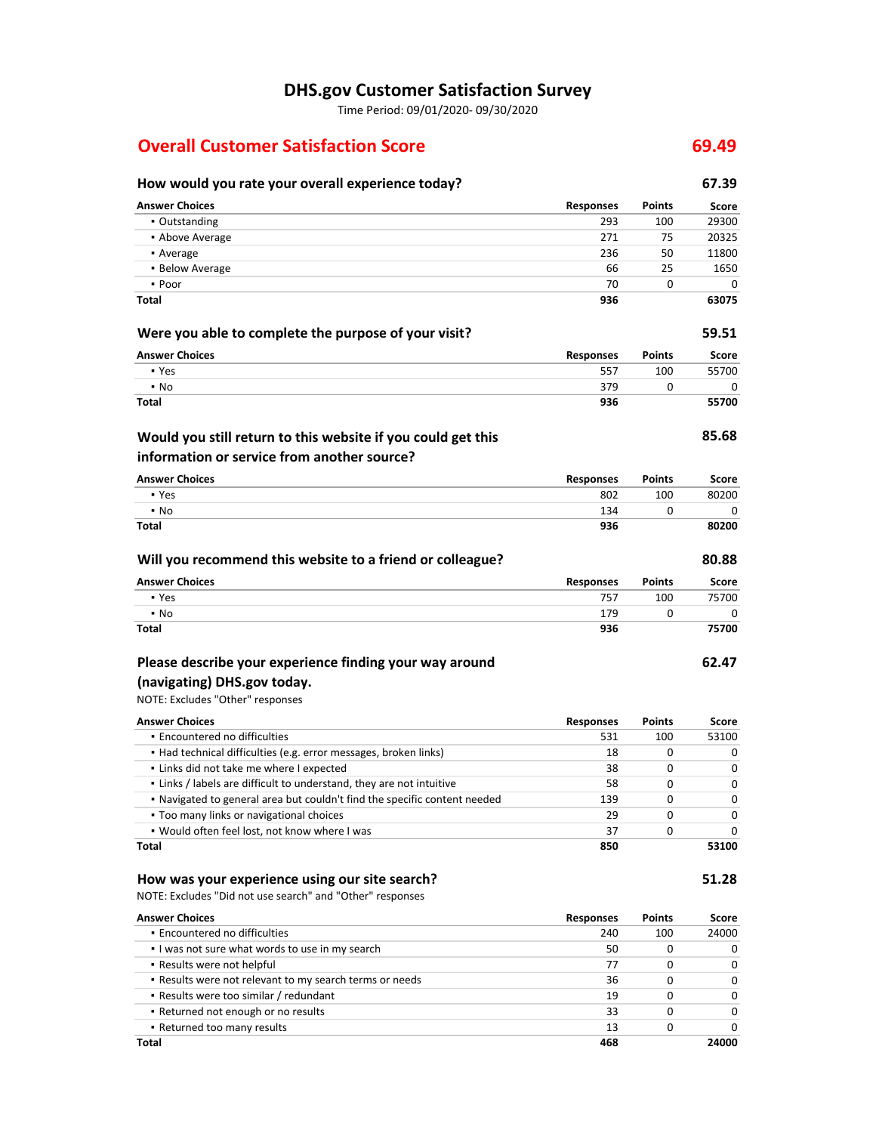# **DHS.gov Customer Satisfaction Survey**

Time Period: 09/01/2020‐ 09/30/2020

# **Overall Customer Satisfaction Score 69.49**

| How would you rate your overall experience today?                         |                  |               | 67.39 |
|---------------------------------------------------------------------------|------------------|---------------|-------|
| <b>Answer Choices</b>                                                     | <b>Responses</b> | <b>Points</b> | Score |
| • Outstanding                                                             | 293              | 100           | 29300 |
| • Above Average                                                           | 271              | 75            | 20325 |
| • Average                                                                 | 236              | 50            | 11800 |
| • Below Average                                                           | 66               | 25            | 1650  |
| • Poor                                                                    | 70               | 0             | 0     |
| Total                                                                     | 936              |               | 63075 |
| Were you able to complete the purpose of your visit?                      |                  |               | 59.51 |
| <b>Answer Choices</b>                                                     | <b>Responses</b> | <b>Points</b> | Score |
| • Yes                                                                     | 557              | 100           | 55700 |
| $\cdot$ No                                                                | 379              | 0             | 0     |
| Total                                                                     | 936              |               | 55700 |
| Would you still return to this website if you could get this              |                  |               | 85.68 |
| information or service from another source?                               |                  |               |       |
| <b>Answer Choices</b>                                                     | <b>Responses</b> | <b>Points</b> | Score |
| • Yes                                                                     | 802              | 100           | 80200 |
| • No                                                                      | 134              | 0             | 0     |
| Total                                                                     | 936              |               | 80200 |
| Will you recommend this website to a friend or colleague?                 |                  |               | 80.88 |
| <b>Answer Choices</b>                                                     | <b>Responses</b> | <b>Points</b> | Score |
| • Yes                                                                     | 757              | 100           | 75700 |
| • No                                                                      | 179              | 0             | 0     |
| Total                                                                     | 936              |               | 75700 |
| Please describe your experience finding your way around                   |                  |               | 62.47 |
| (navigating) DHS.gov today.                                               |                  |               |       |
| NOTE: Excludes "Other" responses                                          |                  |               |       |
|                                                                           |                  |               |       |
| <b>Answer Choices</b>                                                     | <b>Responses</b> | Points        | Score |
| · Encountered no difficulties                                             | 531              | 100           | 53100 |
| • Had technical difficulties (e.g. error messages, broken links)          | 18               | 0             | 0     |
| . Links did not take me where I expected                                  | 38               | 0             | 0     |
| . Links / labels are difficult to understand, they are not intuitive      | 58               | 0             | 0     |
| . Navigated to general area but couldn't find the specific content needed | 139              | 0             | 0     |
| • Too many links or navigational choices                                  | 29               | 0             | 0     |
| . Would often feel lost, not know where I was                             | 37               | 0             | 0     |
| Total                                                                     | 850              |               | 53100 |
| How was your experience using our site search?                            |                  |               | 51.28 |
| NOTE: Excludes "Did not use search" and "Other" responses                 |                  |               |       |
| <b>Answer Choices</b>                                                     | <b>Responses</b> | <b>Points</b> | Score |
| · Encountered no difficulties                                             | 240              | 100           | 24000 |
| . I was not sure what words to use in my search                           | 50               | 0             | 0     |
| . Results were not helpful                                                | 77               | 0             | 0     |
| . Results were not relevant to my search terms or needs                   | 36               | 0             | 0     |
| - Results were too similar / redundant                                    | 19               | 0             | 0     |

33 13 **468** 0  $\pmb{0}$ 

 $\overline{\mathbf{0}}$ 0 **24000**

▪ Returned not enough or no results ▪ Returned too many results